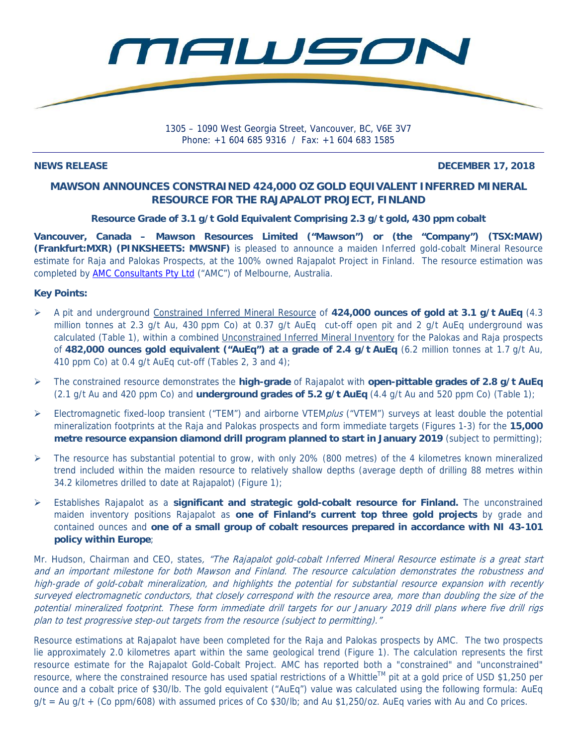

1305 – 1090 West Georgia Street, Vancouver, BC, V6E 3V7 Phone: +1 604 685 9316 / Fax: +1 604 683 1585

### **NEWS RELEASE DECEMBER 17, 2018**

# **MAWSON ANNOUNCES CONSTRAINED 424,000 OZ GOLD EQUIVALENT INFERRED MINERAL RESOURCE FOR THE RAJAPALOT PROJECT, FINLAND**

## **Resource Grade of 3.1 g/t Gold Equivalent Comprising 2.3 g/t gold, 430 ppm cobalt**

**Vancouver, Canada – Mawson Resources Limited ("Mawson") or (the "Company") (TSX:MAW) (Frankfurt:MXR) (PINKSHEETS: MWSNF)** is pleased to announce a maiden Inferred gold-cobalt Mineral Resource estimate for Raja and Palokas Prospects, at the 100% owned Rajapalot Project in Finland. The resource estimation was completed by **AMC Consultants Pty Ltd** ("AMC") of Melbourne, Australia.

## **Key Points:**

- A pit and underground Constrained Inferred Mineral Resource of **424,000 ounces of gold at 3.1 g/t AuEq** (4.3 million tonnes at 2.3 g/t Au, 430 ppm Co) at 0.37 g/t AuEq cut-off open pit and 2 g/t AuEq underground was calculated (Table 1), within a combined Unconstrained Inferred Mineral Inventory for the Palokas and Raja prospects of **482,000 ounces gold equivalent ("AuEq") at a grade of 2.4 g/t AuEq** (6.2 million tonnes at 1.7 g/t Au, 410 ppm Co) at 0.4 g/t AuEq cut-off (Tables 2, 3 and 4);
- The constrained resource demonstrates the **high-grade** of Rajapalot with **open-pittable grades of 2.8 g/t AuEq** (2.1 g/t Au and 420 ppm Co) and **underground grades of 5.2 g/t AuEq** (4.4 g/t Au and 520 ppm Co) (Table 1);
- Electromagnetic fixed-loop transient ("TEM") and airborne VTEM*plus* ("VTEM") surveys at least double the potential mineralization footprints at the Raja and Palokas prospects and form immediate targets (Figures 1-3) for the **15,000 metre resource expansion diamond drill program planned to start in January 2019** (subject to permitting);
- $\triangleright$  The resource has substantial potential to grow, with only 20% (800 metres) of the 4 kilometres known mineralized trend included within the maiden resource to relatively shallow depths (average depth of drilling 88 metres within 34.2 kilometres drilled to date at Rajapalot) (Figure 1);
- Establishes Rajapalot as a **significant and strategic gold-cobalt resource for Finland.** The unconstrained maiden inventory positions Rajapalot as **one of Finland's current top three gold projects** by grade and contained ounces and **one of a small group of cobalt resources prepared in accordance with NI 43-101 policy within Europe**;

Mr. Hudson, Chairman and CEO, states, "The Rajapalot gold-cobalt Inferred Mineral Resource estimate is a great start and an important milestone for both Mawson and Finland. The resource calculation demonstrates the robustness and high-grade of gold-cobalt mineralization, and highlights the potential for substantial resource expansion with recently surveyed electromagnetic conductors, that closely correspond with the resource area, more than doubling the size of the potential mineralized footprint. These form immediate drill targets for our January 2019 drill plans where five drill rigs plan to test progressive step-out targets from the resource (subject to permitting)."

Resource estimations at Rajapalot have been completed for the Raja and Palokas prospects by AMC. The two prospects lie approximately 2.0 kilometres apart within the same geological trend (Figure 1). The calculation represents the first resource estimate for the Rajapalot Gold-Cobalt Project. AMC has reported both a "constrained" and "unconstrained" resource, where the constrained resource has used spatial restrictions of a Whittle™ pit at a gold price of USD \$1,250 per ounce and a cobalt price of \$30/lb. The gold equivalent ("AuEq") value was calculated using the following formula: AuEq  $q/t = Au q/t + (Co ppm/608)$  with assumed prices of Co \$30/lb; and Au \$1,250/oz. AuEq varies with Au and Co prices.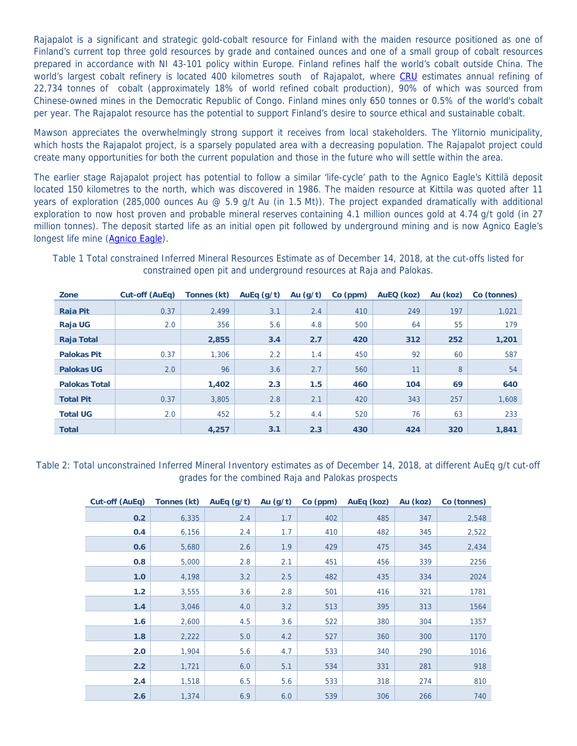Rajapalot is a significant and strategic gold-cobalt resource for Finland with the maiden resource positioned as one of Finland's current top three gold resources by grade and contained ounces and one of a small group of cobalt resources prepared in accordance with NI 43-101 policy within Europe. Finland refines half the world's cobalt outside China. The world's largest cobalt refinery is located 400 kilometres south of Rajapalot, where CRU estimates annual refining of 22,734 tonnes of cobalt (approximately 18% of world refined cobalt production), 90% of which was sourced from Chinese-owned mines in the Democratic Republic of Congo. Finland mines only 650 tonnes or 0.5% of the world's cobalt per year. The Rajapalot resource has the potential to support Finland's desire to source ethical and sustainable cobalt.

Mawson appreciates the overwhelmingly strong support it receives from local stakeholders. The Ylitornio municipality, which hosts the Rajapalot project, is a sparsely populated area with a decreasing population. The Rajapalot project could create many opportunities for both the current population and those in the future who will settle within the area.

The earlier stage Rajapalot project has potential to follow a similar 'life-cycle' path to the Agnico Eagle's Kittilä deposit located 150 kilometres to the north, which was discovered in 1986. The maiden resource at Kittila was quoted after 11 years of exploration (285,000 ounces Au  $\varnothing$  5.9 g/t Au (in 1.5 Mt)). The project expanded dramatically with additional exploration to now host proven and probable mineral reserves containing 4.1 million ounces gold at 4.74 g/t gold (in 27 million tonnes). The deposit started life as an initial open pit followed by underground mining and is now Agnico Eagle's longest life mine (Agnico Eagle).

|            | constrained open pit and underground resources at Raja and Palokas.                                                  |  |  |  |  |  |  |  |  |
|------------|----------------------------------------------------------------------------------------------------------------------|--|--|--|--|--|--|--|--|
| <u> 7.</u> | $0.4.45(0.17a)$ $T_{20.025}$ $(1.1)$ $(0.17a/a/b)$ $(0.1)$ $(0.1)$ $(0.20a)$ $(0.170)(ba-b)$ $(0.11a-b)$ $(0.20a-b)$ |  |  |  |  |  |  |  |  |

Table 1 Total constrained Inferred Mineral Resources Estimate as of December 14, 2018, at the cut-offs listed for

| Zone                 | Cut-off (AuEq) | Tonnes (kt) | AuEq $(g/t)$  | Au $(g/t)$ | $Co$ (ppm) | AuEQ (koz) | Au (koz) | Co (tonnes) |
|----------------------|----------------|-------------|---------------|------------|------------|------------|----------|-------------|
| <b>Raia Pit</b>      | 0.37           | 2.499       | 3.1           | 2.4        | 410        | 249        | 197      | 1.021       |
| <b>Raja UG</b>       | 2.0            | 356         | 5.6           | 4.8        | 500        | 64         | 55       | 179         |
| <b>Raja Total</b>    |                | 2,855       | 3.4           | 2.7        | 420        | 312        | 252      | 1,201       |
| <b>Palokas Pit</b>   | 0.37           | 1,306       | $2.2^{\circ}$ | 1.4        | 450        | 92         | 60       | 587         |
| <b>Palokas UG</b>    | 2.0            | 96          | 3.6           | 2.7        | 560        | 11         | 8        | 54          |
| <b>Palokas Total</b> |                | 1,402       | 2.3           | 1.5        | 460        | 104        | 69       | 640         |
| <b>Total Pit</b>     | 0.37           | 3,805       | 2.8           | 2.1        | 420        | 343        | 257      | 1,608       |
| <b>Total UG</b>      | 2.0            | 452         | 5.2           | 4.4        | 520        | 76         | 63       | 233         |
| <b>Total</b>         |                | 4.257       | 3.1           | 2.3        | 430        | 424        | 320      | 1,841       |

## Table 2: Total unconstrained Inferred Mineral Inventory estimates as of December 14, 2018, at different AuEq g/t cut-off grades for the combined Raja and Palokas prospects

| Cut-off (AuEq) | Tonnes (kt) AuEq (g/t) |     | Au (g/t) | Co (ppm) | AuEq (koz) | Au (koz) | Co (tonnes) |
|----------------|------------------------|-----|----------|----------|------------|----------|-------------|
| 0.2            | 6,335                  | 2.4 | 1.7      | 402      | 485        | 347      | 2,548       |
| 0.4            | 6,156                  | 2.4 | 1.7      | 410      | 482        | 345      | 2,522       |
| 0.6            | 5,680                  | 2.6 | 1.9      | 429      | 475        | 345      | 2,434       |
| 0.8            | 5,000                  | 2.8 | 2.1      | 451      | 456        | 339      | 2256        |
| 1.0            | 4,198                  | 3.2 | 2.5      | 482      | 435        | 334      | 2024        |
| 1.2            | 3,555                  | 3.6 | 2.8      | 501      | 416        | 321      | 1781        |
| 1.4            | 3,046                  | 4.0 | 3.2      | 513      | 395        | 313      | 1564        |
| 1.6            | 2,600                  | 4.5 | 3.6      | 522      | 380        | 304      | 1357        |
| 1.8            | 2,222                  | 5.0 | 4.2      | 527      | 360        | 300      | 1170        |
| 2.0            | 1,904                  | 5.6 | 4.7      | 533      | 340        | 290      | 1016        |
| 2.2            | 1,721                  | 6.0 | 5.1      | 534      | 331        | 281      | 918         |
| 2.4            | 1,518                  | 6.5 | 5.6      | 533      | 318        | 274      | 810         |
| 2.6            | 1,374                  | 6.9 | 6.0      | 539      | 306        | 266      | 740         |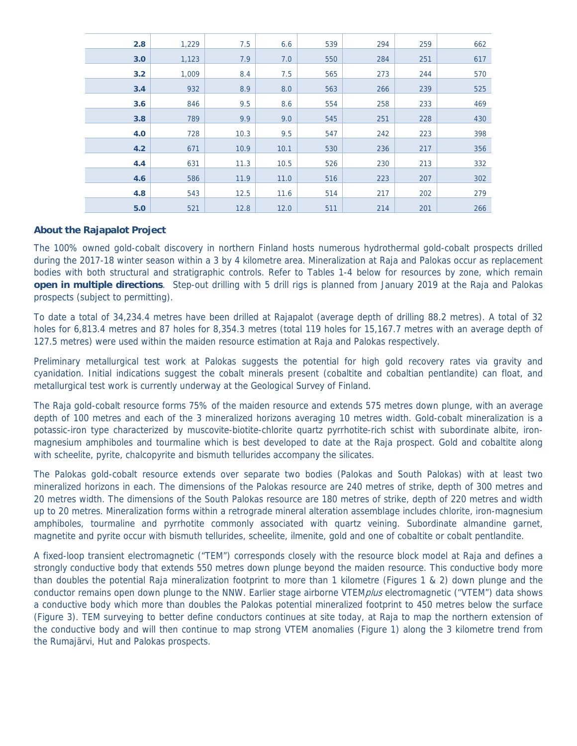| 2.8 | 1,229 | 7.5  | 6.6  | 539 | 294 | 259 | 662 |
|-----|-------|------|------|-----|-----|-----|-----|
| 3.0 | 1,123 | 7.9  | 7.0  | 550 | 284 | 251 | 617 |
| 3.2 | 1,009 | 8.4  | 7.5  | 565 | 273 | 244 | 570 |
| 3.4 | 932   | 8.9  | 8.0  | 563 | 266 | 239 | 525 |
| 3.6 | 846   | 9.5  | 8.6  | 554 | 258 | 233 | 469 |
| 3.8 | 789   | 9.9  | 9.0  | 545 | 251 | 228 | 430 |
| 4.0 | 728   | 10.3 | 9.5  | 547 | 242 | 223 | 398 |
| 4.2 | 671   | 10.9 | 10.1 | 530 | 236 | 217 | 356 |
| 4.4 | 631   | 11.3 | 10.5 | 526 | 230 | 213 | 332 |
| 4.6 | 586   | 11.9 | 11.0 | 516 | 223 | 207 | 302 |
| 4.8 | 543   | 12.5 | 11.6 | 514 | 217 | 202 | 279 |
| 5.0 | 521   | 12.8 | 12.0 | 511 | 214 | 201 | 266 |

### **About the Rajapalot Project**

The 100% owned gold-cobalt discovery in northern Finland hosts numerous hydrothermal gold-cobalt prospects drilled during the 2017-18 winter season within a 3 by 4 kilometre area. Mineralization at Raja and Palokas occur as replacement bodies with both structural and stratigraphic controls. Refer to Tables 1-4 below for resources by zone, which remain **open in multiple directions**. Step-out drilling with 5 drill rigs is planned from January 2019 at the Raja and Palokas prospects (subject to permitting).

To date a total of 34,234.4 metres have been drilled at Rajapalot (average depth of drilling 88.2 metres). A total of 32 holes for 6,813.4 metres and 87 holes for 8,354.3 metres (total 119 holes for 15,167.7 metres with an average depth of 127.5 metres) were used within the maiden resource estimation at Raja and Palokas respectively.

Preliminary metallurgical test work at Palokas suggests the potential for high gold recovery rates via gravity and cyanidation. Initial indications suggest the cobalt minerals present (cobaltite and cobaltian pentlandite) can float, and metallurgical test work is currently underway at the Geological Survey of Finland.

The Raja gold-cobalt resource forms 75% of the maiden resource and extends 575 metres down plunge, with an average depth of 100 metres and each of the 3 mineralized horizons averaging 10 metres width. Gold-cobalt mineralization is a potassic-iron type characterized by muscovite-biotite-chlorite quartz pyrrhotite-rich schist with subordinate albite, ironmagnesium amphiboles and tourmaline which is best developed to date at the Raja prospect. Gold and cobaltite along with scheelite, pyrite, chalcopyrite and bismuth tellurides accompany the silicates.

The Palokas gold-cobalt resource extends over separate two bodies (Palokas and South Palokas) with at least two mineralized horizons in each. The dimensions of the Palokas resource are 240 metres of strike, depth of 300 metres and 20 metres width. The dimensions of the South Palokas resource are 180 metres of strike, depth of 220 metres and width up to 20 metres. Mineralization forms within a retrograde mineral alteration assemblage includes chlorite, iron-magnesium amphiboles, tourmaline and pyrrhotite commonly associated with quartz veining. Subordinate almandine garnet, magnetite and pyrite occur with bismuth tellurides, scheelite, ilmenite, gold and one of cobaltite or cobalt pentlandite.

A fixed-loop transient electromagnetic ("TEM") corresponds closely with the resource block model at Raja and defines a strongly conductive body that extends 550 metres down plunge beyond the maiden resource. This conductive body more than doubles the potential Raja mineralization footprint to more than 1 kilometre (Figures 1 & 2) down plunge and the conductor remains open down plunge to the NNW. Earlier stage airborne VTEM*plus* electromagnetic ("VTEM") data shows a conductive body which more than doubles the Palokas potential mineralized footprint to 450 metres below the surface (Figure 3). TEM surveying to better define conductors continues at site today, at Raja to map the northern extension of the conductive body and will then continue to map strong VTEM anomalies (Figure 1) along the 3 kilometre trend from the Rumajärvi, Hut and Palokas prospects.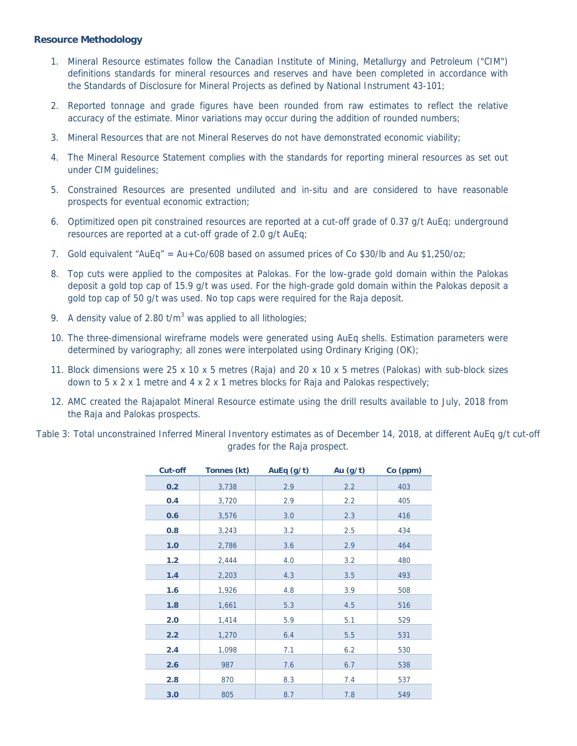#### **Resource Methodology**

- 1. Mineral Resource estimates follow the Canadian Institute of Mining, Metallurgy and Petroleum ("CIM") definitions standards for mineral resources and reserves and have been completed in accordance with the Standards of Disclosure for Mineral Projects as defined by National Instrument 43-101;
- 2. Reported tonnage and grade figures have been rounded from raw estimates to reflect the relative accuracy of the estimate. Minor variations may occur during the addition of rounded numbers;
- 3. Mineral Resources that are not Mineral Reserves do not have demonstrated economic viability;
- 4. The Mineral Resource Statement complies with the standards for reporting mineral resources as set out under CIM guidelines;
- 5. Constrained Resources are presented undiluted and in-situ and are considered to have reasonable prospects for eventual economic extraction;
- 6. Optimitized open pit constrained resources are reported at a cut-off grade of 0.37 g/t AuEq; underground resources are reported at a cut-off grade of 2.0 g/t AuEq;
- 7. Gold equivalent "AuEq" = Au+Co/608 based on assumed prices of Co \$30/lb and Au \$1,250/oz;
- 8. Top cuts were applied to the composites at Palokas. For the low-grade gold domain within the Palokas deposit a gold top cap of 15.9 g/t was used. For the high-grade gold domain within the Palokas deposit a gold top cap of 50 g/t was used. No top caps were required for the Raja deposit.
- 9. A density value of 2.80  $t/m<sup>3</sup>$  was applied to all lithologies;
- 10. The three-dimensional wireframe models were generated using AuEq shells. Estimation parameters were determined by variography; all zones were interpolated using Ordinary Kriging (OK);
- 11. Block dimensions were 25 x 10 x 5 metres (Raja) and 20 x 10 x 5 metres (Palokas) with sub-block sizes down to 5 x 2 x 1 metre and 4 x 2 x 1 metres blocks for Raja and Palokas respectively;
- 12. AMC created the Rajapalot Mineral Resource estimate using the drill results available to July, 2018 from the Raja and Palokas prospects.
- Table 3: Total unconstrained Inferred Mineral Inventory estimates as of December 14, 2018, at different AuEq g/t cut-off grades for the Raja prospect.

| <b>Cut-off</b> | Tonnes (kt) | AuEq $(g/t)$ | Au $(g/t)$ | Co (ppm) |
|----------------|-------------|--------------|------------|----------|
| 0.2            | 3,738       | 2.9          | 2.2        | 403      |
| 0.4            | 3,720       | 2.9          | 2.2        | 405      |
| 0.6            | 3,576       | 3.0          | 2.3        | 416      |
| 0.8            | 3,243       | 3.2          | 2.5        | 434      |
| 1.0            | 2,786       | 3.6          | 2.9        | 464      |
| 1.2            | 2,444       | 4.0          | 3.2        | 480      |
| 1.4            | 2,203       | 4.3          | 3.5        | 493      |
| 1.6            | 1,926       | 4.8          | 3.9        | 508      |
| 1.8            | 1,661       | 5.3          | 4.5        | 516      |
| 2.0            | 1,414       | 5.9          | 5.1        | 529      |
| 2.2            | 1,270       | 6.4          | 5.5        | 531      |
| 2.4            | 1,098       | 7.1          | 6.2        | 530      |
| 2.6            | 987         | 7.6          | 6.7        | 538      |
| 2.8            | 870         | 8.3          | 7.4        | 537      |
| 3.0            | 805         | 8.7          | 7.8        | 549      |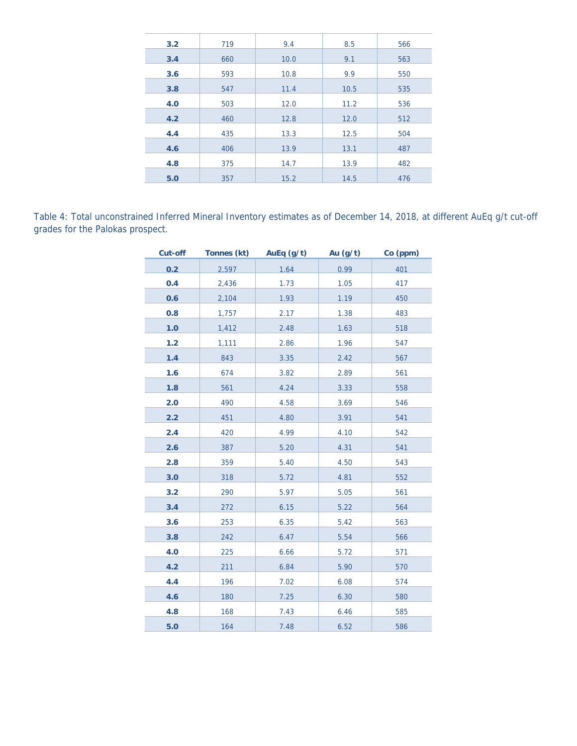| 3.2 | 719 | 9.4  | 8.5  | 566 |
|-----|-----|------|------|-----|
| 3.4 | 660 | 10.0 | 9.1  | 563 |
| 3.6 | 593 | 10.8 | 9.9  | 550 |
| 3.8 | 547 | 11.4 | 10.5 | 535 |
| 4.0 | 503 | 12.0 | 11.2 | 536 |
| 4.2 | 460 | 12.8 | 12.0 | 512 |
| 4.4 | 435 | 13.3 | 12.5 | 504 |
| 4.6 | 406 | 13.9 | 13.1 | 487 |
| 4.8 | 375 | 14.7 | 13.9 | 482 |
| 5.0 | 357 | 15.2 | 14.5 | 476 |

Table 4: Total unconstrained Inferred Mineral Inventory estimates as of December 14, 2018, at different AuEq g/t cut-off grades for the Palokas prospect.

| <b>Cut-off</b> | Tonnes (kt) | AuEq (g/t)  | Au (g/t) | Co (ppm) |
|----------------|-------------|-------------|----------|----------|
| 0.2            | 2,597       | 1.64        | 0.99     | 401      |
| 0.4            | 2,436       | <u>1.73</u> | 1.05     | 417      |
| 0.6            | 2,104       | 1.93        | 1.19     | 450      |
| 0.8            | 1,757       | 2.17        | 1.38     | 483      |
| 1.0            | 1,412       | 2.48        | 1.63     | 518      |
| $1.2$          | 1,111       | 2.86        | 1.96     | 547      |
| 1.4            | 843         | 3.35        | 2.42     | 567      |
| 1.6            | 674         | 3.82        | 2.89     | 561      |
| 1.8            | 561         | 4.24        | 3.33     | 558      |
| 2.0            | 490         | 4.58        | 3.69     | 546      |
| 2.2            | 451         | 4.80        | 3.91     | 541      |
| 2.4            | 420         | 4.99        | 4.10     | 542      |
| 2.6            | 387         | 5.20        | 4.31     | 541      |
| 2.8            | 359         | 5.40        | 4.50     | 543      |
| 3.0            | 318         | 5.72        | 4.81     | 552      |
| 3.2            | 290         | 5.97        | 5.05     | 561      |
| 3.4            | 272         | 6.15        | 5.22     | 564      |
| 3.6            | 253         | 6.35        | 5.42     | 563      |
| 3.8            | 242         | 6.47        | 5.54     | 566      |
| 4.0            | 225         | 6.66        | 5.72     | 571      |
| 4.2            | 211         | 6.84        | 5.90     | 570      |
| 4.4            | 196         | 7.02        | 6.08     | 574      |
| 4.6            | 180         | 7.25        | 6.30     | 580      |
| 4.8            | 168         | 7.43        | 6.46     | 585      |
| 5.0            | 164         | 7.48        | 6.52     | 586      |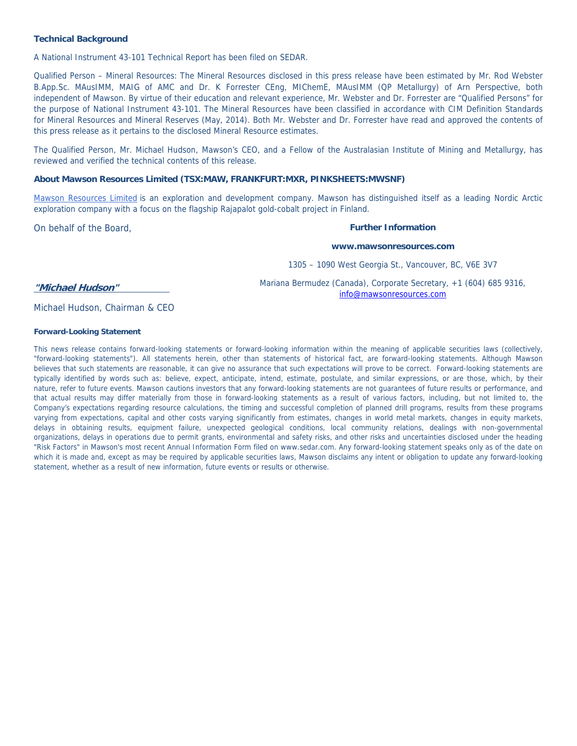#### **Technical Background**

A National Instrument 43-101 Technical Report has been filed on SEDAR.

Qualified Person – Mineral Resources: The Mineral Resources disclosed in this press release have been estimated by Mr. Rod Webster B.App.Sc. MAusIMM, MAIG of AMC and Dr. K Forrester CEng, MIChemE, MAusIMM (QP Metallurgy) of Arn Perspective, both independent of Mawson. By virtue of their education and relevant experience, Mr. Webster and Dr. Forrester are "Qualified Persons" for the purpose of National Instrument 43-101. The Mineral Resources have been classified in accordance with CIM Definition Standards for Mineral Resources and Mineral Reserves (May, 2014). Both Mr. Webster and Dr. Forrester have read and approved the contents of this press release as it pertains to the disclosed Mineral Resource estimates.

The Qualified Person, Mr. Michael Hudson, Mawson's CEO, and a Fellow of the Australasian Institute of Mining and Metallurgy, has reviewed and verified the technical contents of this release.

#### **About Mawson Resources Limited (TSX:MAW, FRANKFURT:MXR, PINKSHEETS:MWSNF)**

Mawson Resources Limited is an exploration and development company. Mawson has distinguished itself as a leading Nordic Arctic exploration company with a focus on the flagship Rajapalot gold-cobalt project in Finland.

On behalf of the Board,

#### **Further Information**

**www.mawsonresources.com** 

1305 – 1090 West Georgia St., Vancouver, BC, V6E 3V7

**"Michael Hudson"**

Mariana Bermudez (Canada), Corporate Secretary, +1 (604) 685 9316, info@mawsonresources.com

Michael Hudson, Chairman & CEO

#### **Forward-Looking Statement**

This news release contains forward-looking statements or forward-looking information within the meaning of applicable securities laws (collectively, "forward-looking statements"). All statements herein, other than statements of historical fact, are forward-looking statements. Although Mawson believes that such statements are reasonable, it can give no assurance that such expectations will prove to be correct. Forward-looking statements are typically identified by words such as: believe, expect, anticipate, intend, estimate, postulate, and similar expressions, or are those, which, by their nature, refer to future events. Mawson cautions investors that any forward-looking statements are not guarantees of future results or performance, and that actual results may differ materially from those in forward-looking statements as a result of various factors, including, but not limited to, the Company's expectations regarding resource calculations, the timing and successful completion of planned drill programs, results from these programs varying from expectations, capital and other costs varying significantly from estimates, changes in world metal markets, changes in equity markets, delays in obtaining results, equipment failure, unexpected geological conditions, local community relations, dealings with non-governmental organizations, delays in operations due to permit grants, environmental and safety risks, and other risks and uncertainties disclosed under the heading "Risk Factors" in Mawson's most recent Annual Information Form filed on www.sedar.com. Any forward-looking statement speaks only as of the date on which it is made and, except as may be required by applicable securities laws, Mawson disclaims any intent or obligation to update any forward-looking statement, whether as a result of new information, future events or results or otherwise.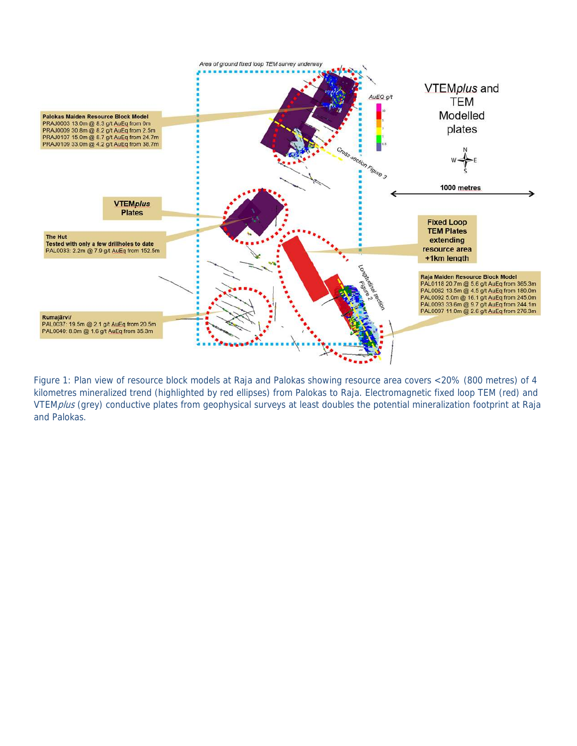

Figure 1: Plan view of resource block models at Raja and Palokas showing resource area covers <20% (800 metres) of 4 kilometres mineralized trend (highlighted by red ellipses) from Palokas to Raja. Electromagnetic fixed loop TEM (red) and VTEMplus (grey) conductive plates from geophysical surveys at least doubles the potential mineralization footprint at Raja and Palokas.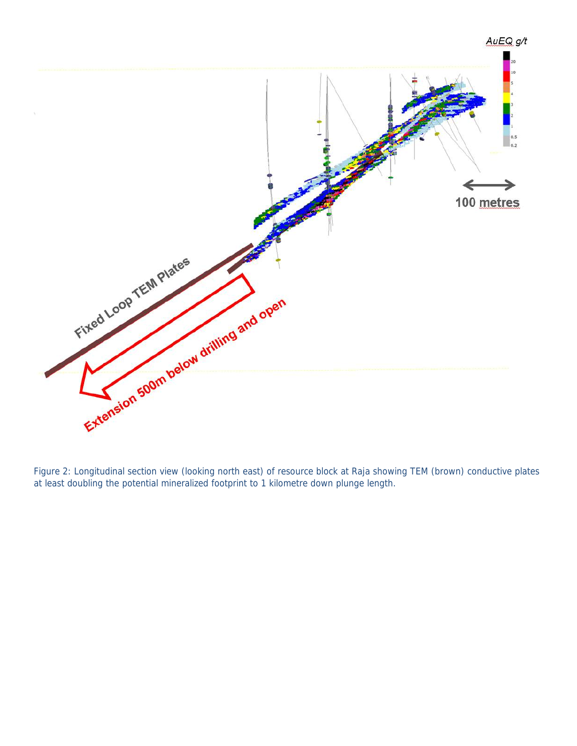

Figure 2: Longitudinal section view (looking north east) of resource block at Raja showing TEM (brown) conductive plates at least doubling the potential mineralized footprint to 1 kilometre down plunge length.